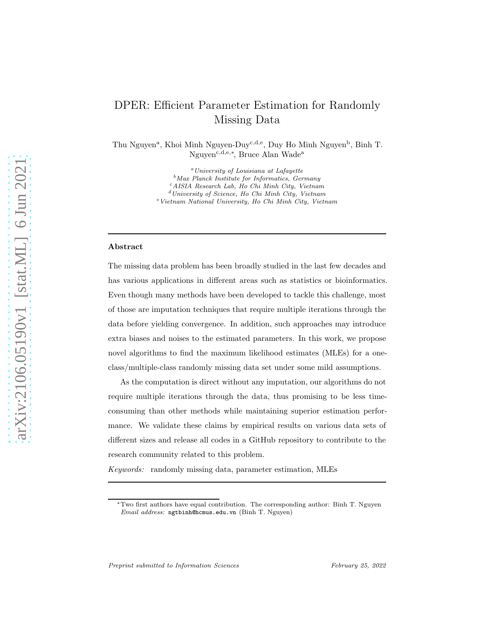# DPER: Efficient Parameter Estimation for Randomly Missing Data

Thu Nguyen<sup>a</sup>, Khoi Minh Nguyen-Duy<sup>c,d,e</sup>, Duy Ho Minh Nguyen<sup>b</sup>, Binh T. Nguyen<sup>c,d,e,∗</sup>, Bruce Alan Wade<sup>a</sup>

> <sup>a</sup>University of Louisiana at Lafayette  $b$ Max Planck Institute for Informatics, Germany <sup>c</sup>AISIA Research Lab, Ho Chi Minh City, Vietnam  $\real^d$ University of Science, Ho Chi Minh City, Vietnam <sup>e</sup>Vietnam National University, Ho Chi Minh City, Vietnam

#### Abstract

The missing data problem has been broadly studied in the last few decades and has various applications in different areas such as statistics or bioinformatics. Even though many methods have been developed to tackle this challenge, most of those are imputation techniques that require multiple iterations through the data before yielding convergence. In addition, such approaches may introduce extra biases and noises to the estimated parameters. In this work, we propose novel algorithms to find the maximum likelihood estimates (MLEs) for a oneclass/multiple-class randomly missing data set under some mild assumptions.

As the computation is direct without any imputation, our algorithms do not require multiple iterations through the data, thus promising to be less timeconsuming than other methods while maintaining superior estimation performance. We validate these claims by empirical results on various data sets of different sizes and release all codes in a GitHub repository to contribute to the research community related to this problem.

*Keywords:* randomly missing data, parameter estimation, MLEs

<sup>∗</sup>Two first authors have equal contribution. The corresponding author: Binh T. Nguyen Email address: ngtbinh@hcmus.edu.vn (Binh T. Nguyen)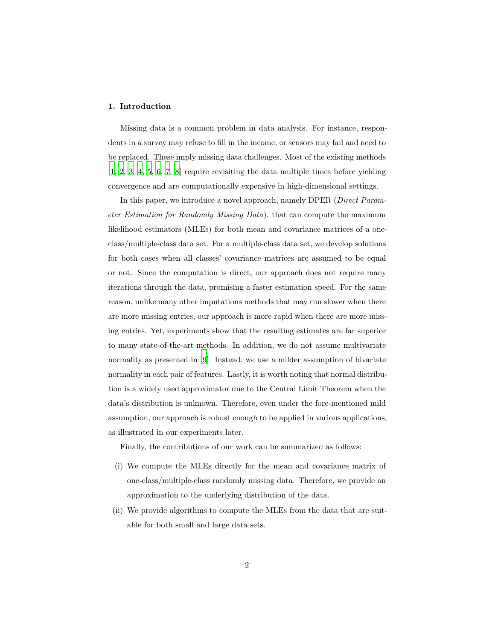#### 1. Introduction

Missing data is a common problem in data analysis. For instance, respondents in a survey may refuse to fill in the income, or sensors may fail and need to be replaced. These imply missing data challenges. Most of the existing methods [\[1,](#page-17-0) [2,](#page-17-1) [3,](#page-17-2) [4,](#page-17-3) [5](#page-17-4), [6,](#page-17-5) [7](#page-18-0), [8\]](#page-18-1) require revisiting the data multiple times before yielding convergence and are computationally expensive in high-dimensional settings.

In this paper, we introduce a novel approach, namely DPER (*Direct Parameter Estimation for Randomly Missing Data*), that can compute the maximum likelihood estimators (MLEs) for both mean and covariance matrices of a oneclass/multiple-class data set. For a multiple-class data set, we develop solutions for both cases when all classes' covariance matrices are assumed to be equal or not. Since the computation is direct, our approach does not require many iterations through the data, promising a faster estimation speed. For the same reason, unlike many other imputations methods that may run slower when there are more missing entries, our approach is more rapid when there are more missing entries. Yet, experiments show that the resulting estimates are far superior to many state-of-the-art methods. In addition, we do not assume multivariate normality as presented in [\[9\]](#page-18-2). Instead, we use a milder assumption of bivariate normality in each pair of features. Lastly, it is worth noting that normal distribution is a widely used approximator due to the Central Limit Theorem when the data's distribution is unknown. Therefore, even under the fore-mentioned mild assumption, our approach is robust enough to be applied in various applications, as illustrated in our experiments later.

Finally, the contributions of our work can be summarized as follows:

- (i) We compute the MLEs directly for the mean and covariance matrix of one-class/multiple-class randomly missing data. Therefore, we provide an approximation to the underlying distribution of the data.
- (ii) We provide algorithms to compute the MLEs from the data that are suitable for both small and large data sets.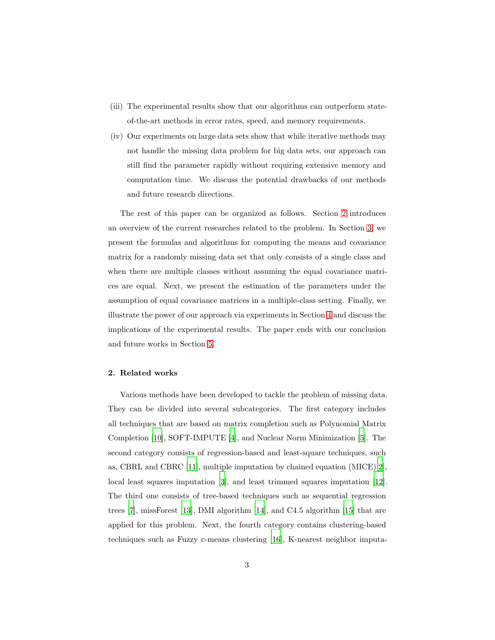- (iii) The experimental results show that our algorithms can outperform stateof-the-art methods in error rates, speed, and memory requirements.
- (iv) Our experiments on large data sets show that while iterative methods may not handle the missing data problem for big data sets, our approach can still find the parameter rapidly without requiring extensive memory and computation time. We discuss the potential drawbacks of our methods and future research directions.

The rest of this paper can be organized as follows. Section [2](#page-2-0) introduces an overview of the current researches related to the problem. In Section [3,](#page-4-0) we present the formulas and algorithms for computing the means and covariance matrix for a randomly missing data set that only consists of a single class and when there are multiple classes without assuming the equal covariance matrices are equal. Next, we present the estimation of the parameters under the assumption of equal covariance matrices in a multiple-class setting. Finally, we illustrate the power of our approach via experiments in Section [4](#page-10-0) and discuss the implications of the experimental results. The paper ends with our conclusion and future works in Section [5.](#page-16-0)

#### <span id="page-2-0"></span>2. Related works

Various methods have been developed to tackle the problem of missing data. They can be divided into several subcategories. The first category includes all techniques that are based on matrix completion such as Polynomial Matrix Completion [\[10\]](#page-18-3), SOFT-IMPUTE [\[4](#page-17-3)], and Nuclear Norm Minimization [\[5](#page-17-4)]. The second category consists of regression-based and least-square techniques, such as, CBRL and CBRC [\[11\]](#page-18-4), multiple imputation by chained equation (MICE)[\[2](#page-17-1)], local least squares imputation [\[3\]](#page-17-2), and least trimmed squares imputation [\[12\]](#page-18-5). The third one consists of tree-based techniques such as sequential regression trees [\[7](#page-18-0)], missForest [\[13](#page-18-6)], DMI algorithm [\[14\]](#page-18-7), and C4.5 algorithm [\[15\]](#page-18-8) that are applied for this problem. Next, the fourth category contains clustering-based techniques such as Fuzzy c-means clustering [\[16](#page-19-0)], K-nearest neighbor imputa-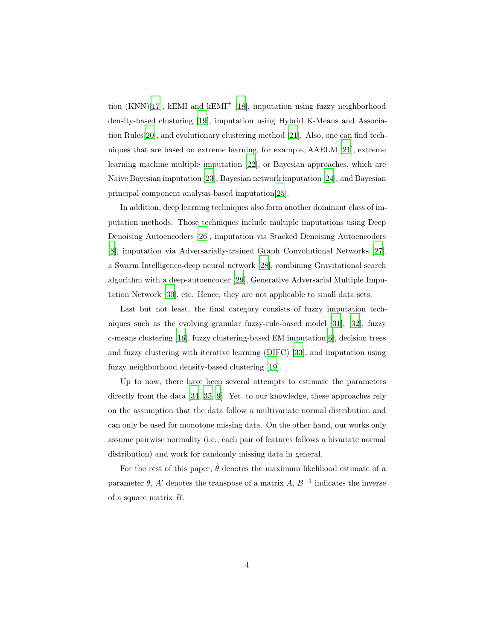tion  $(KNN)[17]$  $(KNN)[17]$ , kEMI and kEMI<sup>+</sup> [\[18\]](#page-19-2), imputation using fuzzy neighborhood density-based clustering [\[19\]](#page-19-3), imputation using Hybrid K-Means and Association Rules[\[20\]](#page-19-4), and evolutionary clustering method [\[21](#page-19-5)]. Also, one can find techniques that are based on extreme learning, for example, AAELM [\[21\]](#page-19-5), extreme learning machine multiple imputation [\[22](#page-19-6)], or Bayesian approaches, which are Naive Bayesian imputation [\[23](#page-19-7)], Bayesian network imputation [\[24\]](#page-19-8), and Bayesian principal component analysis-based imputation[\[25](#page-20-0)].

In addition, deep learning techniques also form another dominant class of imputation methods. Those techniques include multiple imputations using Deep Denoising Autoencoders [\[26](#page-20-1)], imputation via Stacked Denoising Autoencoders [\[8\]](#page-18-1), imputation via Adversarially-trained Graph Convolutional Networks [\[27](#page-20-2)], a Swarm Intelligence-deep neural network [\[28](#page-20-3)], combining Gravitational search algorithm with a deep-autoencoder [\[29\]](#page-20-4), Generative Adversarial Multiple Imputation Network [\[30\]](#page-20-5), etc. Hence, they are not applicable to small data sets.

Last but not least, the final category consists of fuzzy imputation techniques such as the evolving granular fuzzy-rule-based model [\[31\]](#page-20-6), [\[32\]](#page-20-7), fuzzy c-means clustering [\[16\]](#page-19-0), fuzzy clustering-based EM imputation[\[6](#page-17-5)], decision trees and fuzzy clustering with iterative learning (DIFC) [\[33\]](#page-20-8), and imputation using fuzzy neighborhood density-based clustering [\[19\]](#page-19-3).

Up to now, there have been several attempts to estimate the parameters directly from the data [\[34,](#page-21-0) [35](#page-21-1), [9](#page-18-2)]. Yet, to our knowledge, these approaches rely on the assumption that the data follow a multivariate normal distribution and can only be used for monotone missing data. On the other hand, our works only assume pairwise normality (i.e., each pair of features follows a bivariate normal distribution) and work for randomly missing data in general.

For the rest of this paper,  $\hat{\theta}$  denotes the maximum likelihood estimate of a parameter  $\theta$ , A' denotes the transpose of a matrix A,  $B^{-1}$  indicates the inverse of a square matrix B.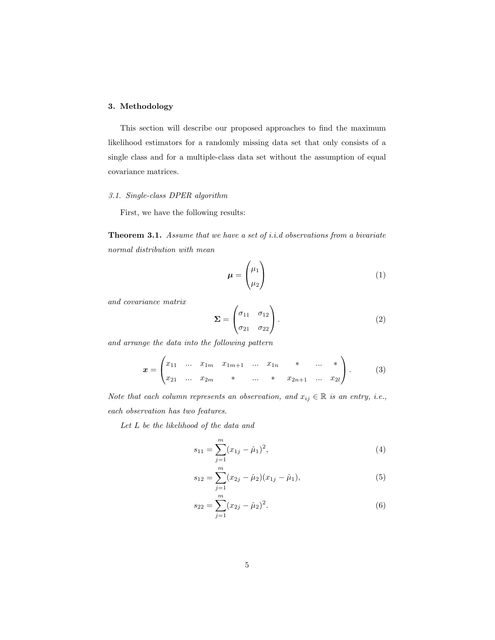# <span id="page-4-0"></span>3. Methodology

This section will describe our proposed approaches to find the maximum likelihood estimators for a randomly missing data set that only consists of a single class and for a multiple-class data set without the assumption of equal covariance matrices.

# *3.1. Single-class DPER algorithm*

<span id="page-4-1"></span>First, we have the following results:

Theorem 3.1. *Assume that we have a set of i.i.d observations from a bivariate normal distribution with mean*

$$
\mu = \begin{pmatrix} \mu_1 \\ \mu_2 \end{pmatrix} \tag{1}
$$

*and covariance matrix*

$$
\Sigma = \begin{pmatrix} \sigma_{11} & \sigma_{12} \\ \sigma_{21} & \sigma_{22} \end{pmatrix} . \tag{2}
$$

*and arrange the data into the following pattern*

$$
\boldsymbol{x} = \begin{pmatrix} x_{11} & \dots & x_{1m} & x_{1m+1} & \dots & x_{1n} & * & \dots & * \\ x_{21} & \dots & x_{2m} & * & \dots & * & x_{2n+1} & \dots & x_{2l} \end{pmatrix} . \tag{3}
$$

*Note that each column represents an observation, and*  $x_{ij} \in \mathbb{R}$  *is an entry, i.e., each observation has two features.*

*Let* L *be the likelihood of the data and*

$$
s_{11} = \sum_{j=1}^{m} (x_{1j} - \hat{\mu}_1)^2,
$$
 (4)

$$
s_{12} = \sum_{j=1}^{m} (x_{2j} - \hat{\mu}_2)(x_{1j} - \hat{\mu}_1),
$$
\n(5)

$$
s_{22} = \sum_{j=1}^{m} (x_{2j} - \hat{\mu}_2)^2.
$$
 (6)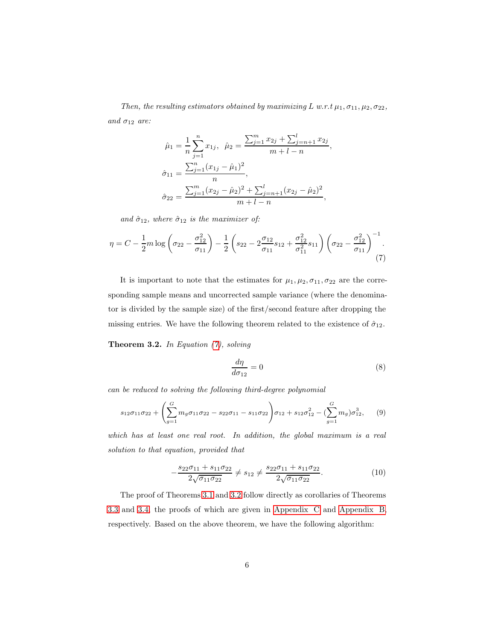*Then, the resulting estimators obtained by maximizing* L  $w.r.t$   $\mu_1, \sigma_{11}, \mu_2, \sigma_{22}$ *, and*  $\sigma_{12}$  *are:* 

<span id="page-5-0"></span>
$$
\hat{\mu}_1 = \frac{1}{n} \sum_{j=1}^n x_{1j}, \quad \hat{\mu}_2 = \frac{\sum_{j=1}^m x_{2j} + \sum_{j=n+1}^l x_{2j}}{m+l-n},
$$

$$
\hat{\sigma}_{11} = \frac{\sum_{j=1}^n (x_{1j} - \hat{\mu}_1)^2}{n},
$$

$$
\hat{\sigma}_{22} = \frac{\sum_{j=1}^m (x_{2j} - \hat{\mu}_2)^2 + \sum_{j=n+1}^l (x_{2j} - \hat{\mu}_2)^2}{m+l-n},
$$

*and*  $\hat{\sigma}_{12}$ *, where*  $\hat{\sigma}_{12}$  *is the maximizer of:* 

$$
\eta = C - \frac{1}{2}m \log \left(\sigma_{22} - \frac{\sigma_{12}^2}{\sigma_{11}}\right) - \frac{1}{2} \left(s_{22} - 2\frac{\sigma_{12}}{\sigma_{11}}s_{12} + \frac{\sigma_{12}^2}{\sigma_{11}^2}s_{11}\right) \left(\sigma_{22} - \frac{\sigma_{12}^2}{\sigma_{11}}\right)^{-1}.\tag{7}
$$

It is important to note that the estimates for  $\mu_1, \mu_2, \sigma_{11}, \sigma_{22}$  are the corresponding sample means and uncorrected sample variance (where the denominator is divided by the sample size) of the first/second feature after dropping the missing entries. We have the following theorem related to the existence of  $\hat{\sigma}_{12}$ .

Theorem 3.2. *In Equation [\(7\)](#page-5-0), solving*

<span id="page-5-2"></span><span id="page-5-1"></span>
$$
\frac{d\eta}{d\sigma_{12}} = 0\tag{8}
$$

*can be reduced to solving the following third-degree polynomial*

$$
s_{12}\sigma_{11}\sigma_{22} + \left(\sum_{g=1}^{G} m_g \sigma_{11}\sigma_{22} - s_{22}\sigma_{11} - s_{11}\sigma_{22}\right)\sigma_{12} + s_{12}\sigma_{12}^2 - \left(\sum_{g=1}^{G} m_g\right)\sigma_{12}^3, \quad (9)
$$

*which has at least one real root. In addition, the global maximum is a real solution to that equation, provided that*

$$
-\frac{s_{22}\sigma_{11} + s_{11}\sigma_{22}}{2\sqrt{\sigma_{11}\sigma_{22}}} \neq s_{12} \neq \frac{s_{22}\sigma_{11} + s_{11}\sigma_{22}}{2\sqrt{\sigma_{11}\sigma_{22}}}.
$$
\n(10)

The proof of Theorems [3.1](#page-4-1) and [3.2](#page-5-1) follow directly as corollaries of Theorems [3.3](#page-7-0) and [3.4,](#page-8-0) the proofs of which are given in [Appendix C](#page-25-0) and [Appendix B,](#page-23-0) respectively. Based on the above theorem, we have the following algorithm: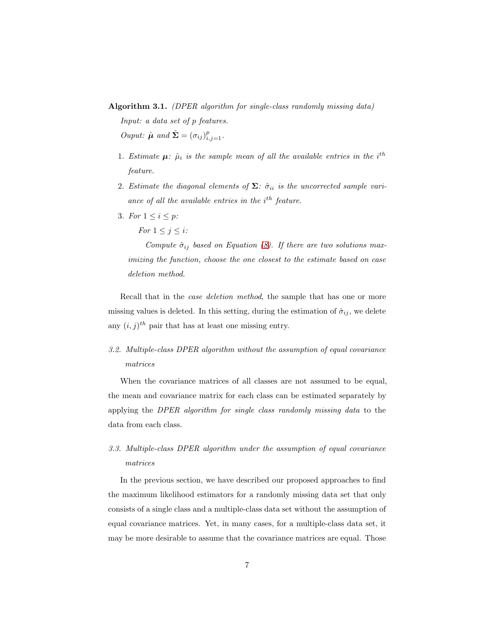Algorithm 3.1. *(DPER algorithm for single-class randomly missing data)*

*Input: a data set of* p *features. Ouput:*  $\hat{\boldsymbol{\mu}}$  and  $\hat{\boldsymbol{\Sigma}} = (\sigma_{ij})_{i,j=1}^p$ .

- 1. *Estimate*  $\mu$ :  $\hat{\mu}_i$  *is the sample mean of all the available entries in the i*<sup>th</sup> *feature.*
- 2. *Estimate the diagonal elements of*  $\Sigma$ *:*  $\hat{\sigma}_{ii}$  *is the uncorrected sample vari*ance of all the available entries in the i<sup>th</sup> feature.
- 3. *For*  $1 \le i \le p$ :

*For*  $1 \leq j \leq i$ *:* 

*Compute*  $\hat{\sigma}_{ij}$  *based on Equation [\(8\)](#page-5-2). If there are two solutions maximizing the function, choose the one closest to the estimate based on case deletion method.*

Recall that in the *case deletion method*, the sample that has one or more missing values is deleted. In this setting, during the estimation of  $\hat{\sigma}_{ij}$ , we delete any  $(i, j)^{th}$  pair that has at least one missing entry.

*3.2. Multiple-class DPER algorithm without the assumption of equal covariance matrices*

When the covariance matrices of all classes are not assumed to be equal, the mean and covariance matrix for each class can be estimated separately by applying the *DPER algorithm for single class randomly missing data* to the data from each class.

*3.3. Multiple-class DPER algorithm under the assumption of equal covariance matrices*

In the previous section, we have described our proposed approaches to find the maximum likelihood estimators for a randomly missing data set that only consists of a single class and a multiple-class data set without the assumption of equal covariance matrices. Yet, in many cases, for a multiple-class data set, it may be more desirable to assume that the covariance matrices are equal. Those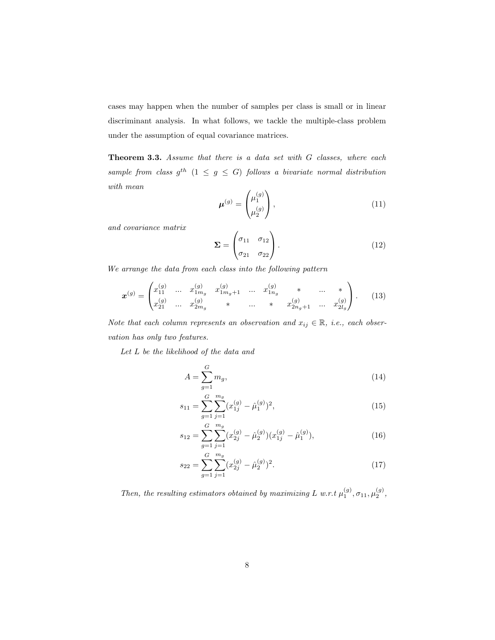<span id="page-7-0"></span>cases may happen when the number of samples per class is small or in linear discriminant analysis. In what follows, we tackle the multiple-class problem under the assumption of equal covariance matrices.

Theorem 3.3. *Assume that there is a data set with* G *classes, where each*  $sample\ from\ class\ g^{th} \ (1 \leq g \leq G) \ follows\ a\ bivariate\ normal\ distribution$ *with mean*

$$
\boldsymbol{\mu}^{(g)} = \begin{pmatrix} \mu_1^{(g)} \\ \mu_2^{(g)} \end{pmatrix},\tag{11}
$$

*and covariance matrix*

$$
\Sigma = \begin{pmatrix} \sigma_{11} & \sigma_{12} \\ \sigma_{21} & \sigma_{22} \end{pmatrix} . \tag{12}
$$

*We arrange the data from each class into the following pattern*

$$
\boldsymbol{x}^{(g)} = \begin{pmatrix} x_{11}^{(g)} & \dots & x_{1m_g}^{(g)} & x_{1m_g+1}^{(g)} & \dots & x_{1n_g}^{(g)} & * & \dots & * \\ x_{21}^{(g)} & \dots & x_{2m_g}^{(g)} & * & \dots & * & x_{2n_g+1}^{(g)} & \dots & x_{2l_g}^{(g)} \end{pmatrix} . \tag{13}
$$

*Note that each column represents an observation and*  $x_{ij} \in \mathbb{R}$ , *i.e.*, *each observation has only two features.*

*Let* L *be the likelihood of the data and*

$$
A = \sum_{g=1}^{G} m_g,\tag{14}
$$

$$
s_{11} = \sum_{g=1}^{G} \sum_{j=1}^{m_g} (x_{1j}^{(g)} - \hat{\mu}_1^{(g)})^2,
$$
\n(15)

$$
s_{12} = \sum_{g=1}^{G} \sum_{j=1}^{m_g} (x_{2j}^{(g)} - \hat{\mu}_2^{(g)}) (x_{1j}^{(g)} - \hat{\mu}_1^{(g)}), \qquad (16)
$$

$$
s_{22} = \sum_{g=1}^{G} \sum_{j=1}^{m_g} (x_{2j}^{(g)} - \hat{\mu}_2^{(g)})^2.
$$
 (17)

*Then, the resulting estimators obtained by maximizing L w.r.t*  $\mu_1^{(g)}$ ,  $\sigma_{11}, \mu_2^{(g)}$ ,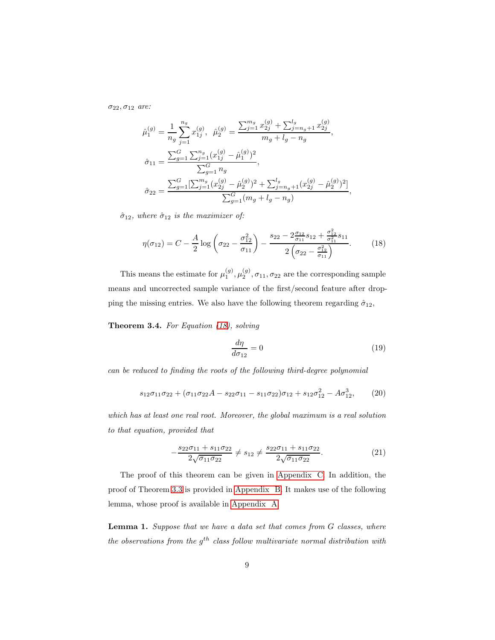σ22, σ<sup>12</sup> *are:*

$$
\hat{\mu}_1^{(g)} = \frac{1}{n_g} \sum_{j=1}^{n_g} x_{1j}^{(g)}, \quad \hat{\mu}_2^{(g)} = \frac{\sum_{j=1}^{m_g} x_{2j}^{(g)} + \sum_{j=n_g+1}^{l_g} x_{2j}^{(g)}}{m_g + l_g - n_g},
$$
\n
$$
\hat{\sigma}_{11} = \frac{\sum_{g=1}^{G} \sum_{j=1}^{n_g} (x_{1j}^{(g)} - \hat{\mu}_1^{(g)})^2}{\sum_{g=1}^{G} n_g},
$$
\n
$$
\hat{\sigma}_{22} = \frac{\sum_{g=1}^{G} [\sum_{j=1}^{m_g} (x_{2j}^{(g)} - \hat{\mu}_2^{(g)})^2 + \sum_{j=n_g+1}^{l_g} (x_{2j}^{(g)} - \hat{\mu}_2^{(g)})^2]}{\sum_{g=1}^{G} (m_g + l_g - n_g)}
$$

 $\hat{\sigma}_{12}$ *, where*  $\hat{\sigma}_{12}$  *is the maximizer of:* 

$$
\eta(\sigma_{12}) = C - \frac{A}{2} \log \left( \sigma_{22} - \frac{\sigma_{12}^2}{\sigma_{11}} \right) - \frac{s_{22} - 2\frac{\sigma_{12}}{\sigma_{11}} s_{12} + \frac{\sigma_{12}^2}{\sigma_{11}^2} s_{11}}{2\left(\sigma_{22} - \frac{\sigma_{12}^2}{\sigma_{11}}\right)}.
$$
(18)

<span id="page-8-0"></span>This means the estimate for  $\mu_1^{(g)}, \mu_2^{(g)}, \sigma_{11}, \sigma_{22}$  are the corresponding sample means and uncorrected sample variance of the first/second feature after dropping the missing entries. We also have the following theorem regarding  $\hat{\sigma}_{12}$ ,

Theorem 3.4. *For Equation [\(18\)](#page-8-1), solving*

<span id="page-8-2"></span>
$$
\frac{d\eta}{d\sigma_{12}} = 0\tag{19}
$$

<span id="page-8-1"></span>,

*can be reduced to finding the roots of the following third-degree polynomial*

$$
s_{12}\sigma_{11}\sigma_{22} + (\sigma_{11}\sigma_{22}A - s_{22}\sigma_{11} - s_{11}\sigma_{22})\sigma_{12} + s_{12}\sigma_{12}^{2} - A\sigma_{12}^{3}, \qquad (20)
$$

*which has at least one real root. Moreover, the global maximum is a real solution to that equation, provided that*

$$
-\frac{s_{22}\sigma_{11} + s_{11}\sigma_{22}}{2\sqrt{\sigma_{11}\sigma_{22}}} \neq s_{12} \neq \frac{s_{22}\sigma_{11} + s_{11}\sigma_{22}}{2\sqrt{\sigma_{11}\sigma_{22}}}.
$$
\n(21)

The proof of this theorem can be given in [Appendix C.](#page-25-0) In addition, the proof of Theorem [3.3](#page-7-0) is provided in [Appendix B.](#page-23-0) It makes use of the following lemma, whose proof is available in [Appendix A.](#page-22-0)

<span id="page-8-3"></span>Lemma 1. *Suppose that we have a data set that comes from* G *classes, where the observations from the*  $g^{th}$  *class follow multivariate normal distribution with*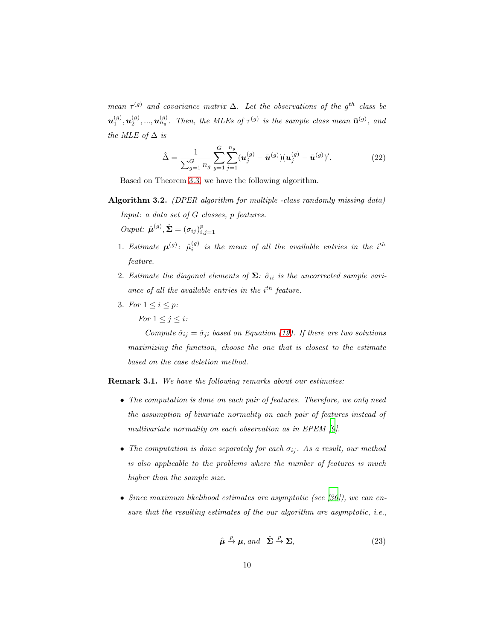*mean*  $\tau^{(g)}$  *and covariance matrix*  $\Delta$ *. Let the observations of the*  $g^{th}$  *class be*  $\bm{u}_1^{(g)}, \bm{u}_2^{(g)}, ..., \bm{u}_{n_g}^{(g)}$ . Then, the MLEs of  $\tau^{(g)}$  is the sample class mean  $\bar{\mathbf{u}}^{(g)}$ , and *the MLE of*  $\Delta$  *is* 

$$
\hat{\Delta} = \frac{1}{\sum_{g=1}^{G} n_g} \sum_{g=1}^{G} \sum_{j=1}^{n_g} (\mathbf{u}_j^{(g)} - \bar{\mathbf{u}}^{(g)}) (\mathbf{u}_j^{(g)} - \bar{\mathbf{u}}^{(g)})'. \tag{22}
$$

Based on Theorem [3.3,](#page-7-0) we have the following algorithm.

Algorithm 3.2. *(DPER algorithm for multiple -class randomly missing data) Input: a data set of* G *classes,* p *features.*

*Ouput:*  $\hat{\boldsymbol{\mu}}^{(g)}$ ,  $\hat{\boldsymbol{\Sigma}} = (\sigma_{ij})_{i,j=1}^p$ 

- 1. *Estimate*  $\mu^{(g)}$ :  $\hat{\mu}^{(g)}_i$  is the mean of all the available entries in the i<sup>th</sup> *feature.*
- 2. *Estimate the diagonal elements of*  $\Sigma$ *:*  $\hat{\sigma}_{ii}$  *is the uncorrected sample vari*ance of all the available entries in the i<sup>th</sup> feature.
- 3. *For*  $1 \le i \le p$ *: For*  $1 \leq j \leq i$ *:*

*Compute*  $\hat{\sigma}_{ij} = \hat{\sigma}_{ji}$  *based on Equation [\(19\)](#page-8-2). If there are two solutions maximizing the function, choose the one that is closest to the estimate based on the case deletion method.*

Remark 3.1. *We have the following remarks about our estimates:*

- *The computation is done on each pair of features. Therefore, we only need the assumption of bivariate normality on each pair of features instead of multivariate normality on each observation as in EPEM [\[9\]](#page-18-2).*
- The computation is done separately for each  $\sigma_{ij}$ . As a result, our method *is also applicable to the problems where the number of features is much higher than the sample size.*
- *Since maximum likelihood estimates are asymptotic (see [\[36](#page-21-2)]), we can ensure that the resulting estimates of the our algorithm are asymptotic, i.e.,*

$$
\hat{\boldsymbol{\mu}} \stackrel{p}{\rightarrow} \boldsymbol{\mu}, \text{and} \quad \hat{\boldsymbol{\Sigma}} \stackrel{p}{\rightarrow} \boldsymbol{\Sigma}, \tag{23}
$$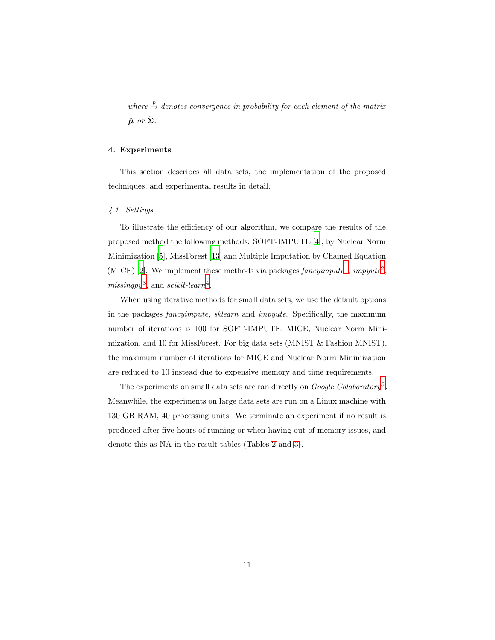*where*  $\stackrel{p}{\rightarrow}$  *denotes convergence in probability for each element of the matrix*  $\hat{\boldsymbol{\mu}}$  or  $\hat{\boldsymbol{\Sigma}}$ *.* 

# <span id="page-10-0"></span>4. Experiments

This section describes all data sets, the implementation of the proposed techniques, and experimental results in detail.

#### *4.1. Settings*

To illustrate the efficiency of our algorithm, we compare the results of the proposed method the following methods: SOFT-IMPUTE [\[4\]](#page-17-3), by Nuclear Norm Minimization [\[5\]](#page-17-4), MissForest [\[13\]](#page-18-6) and Multiple Imputation by Chained Equation (MICE) [\[2\]](#page-17-1). We implement these methods via packages  $fancyimpute<sup>1</sup>$  $fancyimpute<sup>1</sup>$  $fancyimpute<sup>1</sup>$ ,  $impyute<sup>2</sup>$  $impyute<sup>2</sup>$  $impyute<sup>2</sup>$ , *missingpy*[3](#page-11-2) , and *scikit-learn*[4](#page-11-3) .

When using iterative methods for small data sets, we use the default options in the packages *fancyimpute, sklearn* and *impyute*. Specifically, the maximum number of iterations is 100 for SOFT-IMPUTE, MICE, Nuclear Norm Minimization, and 10 for MissForest. For big data sets (MNIST & Fashion MNIST), the maximum number of iterations for MICE and Nuclear Norm Minimization are reduced to 10 instead due to expensive memory and time requirements.

The experiments on small data sets are ran directly on *Google Colaboratory*[5](#page-11-4) . Meanwhile, the experiments on large data sets are run on a Linux machine with 130 GB RAM, 40 processing units. We terminate an experiment if no result is produced after five hours of running or when having out-of-memory issues, and denote this as NA in the result tables (Tables [2](#page-13-0) and [3\)](#page-14-0).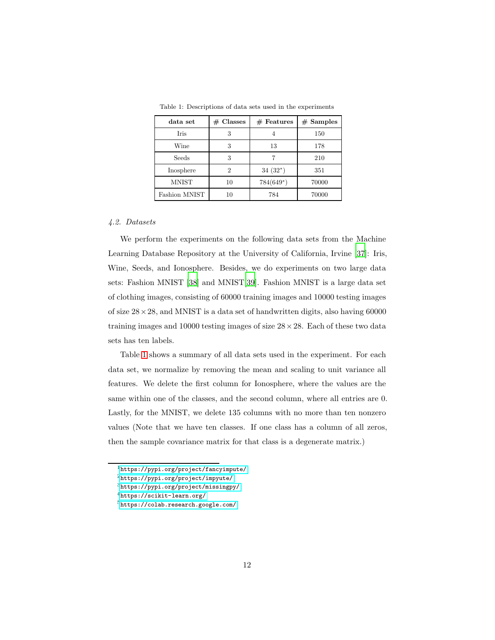| data set      | $#$ Classes | $#$ Features | $#$ Samples |
|---------------|-------------|--------------|-------------|
| Iris          |             |              | 150         |
| Wine          | 3           | 13           | 178         |
| Seeds         | 3           |              | 210         |
| Inosphere     | 2           | $34(32^*)$   | 351         |
| <b>MNIST</b>  | 10          | $784(649^*)$ | 70000       |
| Fashion MNIST | 10          | 784          | 70000       |

<span id="page-11-5"></span>Table 1: Descriptions of data sets used in the experiments

#### *4.2. Datasets*

We perform the experiments on the following data sets from the Machine Learning Database Repository at the University of California, Irvine [\[37\]](#page-21-3): Iris, Wine, Seeds, and Ionosphere. Besides, we do experiments on two large data sets: Fashion MNIST [\[38\]](#page-21-4) and MNIST[\[39](#page-21-5)]. Fashion MNIST is a large data set of clothing images, consisting of 60000 training images and 10000 testing images of size  $28 \times 28$ , and MNIST is a data set of handwritten digits, also having 60000 training images and 10000 testing images of size  $28 \times 28$ . Each of these two data sets has ten labels.

Table [1](#page-11-5) shows a summary of all data sets used in the experiment. For each data set, we normalize by removing the mean and scaling to unit variance all features. We delete the first column for Ionosphere, where the values are the same within one of the classes, and the second column, where all entries are 0. Lastly, for the MNIST, we delete 135 columns with no more than ten nonzero values (Note that we have ten classes. If one class has a column of all zeros, then the sample covariance matrix for that class is a degenerate matrix.)

<sup>1</sup><https://pypi.org/project/fancyimpute/>

<span id="page-11-0"></span> $^{2}$ <https://pypi.org/project/impyute/>

<span id="page-11-1"></span><sup>3</sup><https://pypi.org/project/missingpy/>

<span id="page-11-2"></span><sup>4</sup><https://scikit-learn.org/>

<span id="page-11-4"></span><span id="page-11-3"></span><sup>5</sup><https://colab.research.google.com/>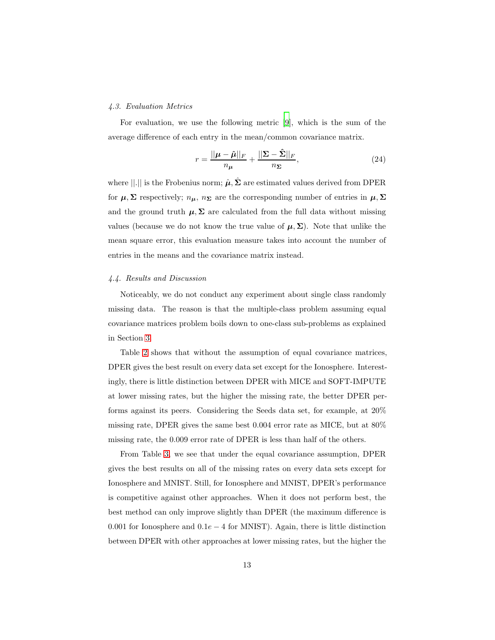#### *4.3. Evaluation Metrics*

For evaluation, we use the following metric [\[9\]](#page-18-2), which is the sum of the average difference of each entry in the mean/common covariance matrix.

$$
r = \frac{||\boldsymbol{\mu} - \hat{\boldsymbol{\mu}}||_F}{n_{\boldsymbol{\mu}}} + \frac{||\boldsymbol{\Sigma} - \hat{\boldsymbol{\Sigma}}||_F}{n_{\boldsymbol{\Sigma}}},
$$
\n(24)

where  $\|\cdot\|$  is the Frobenius norm;  $\hat{\boldsymbol{\mu}}, \hat{\boldsymbol{\Sigma}}$  are estimated values derived from DPER for  $\mu$ ,  $\Sigma$  respectively;  $n_{\mu}$ ,  $n_{\Sigma}$  are the corresponding number of entries in  $\mu$ ,  $\Sigma$ and the ground truth  $\mu$ ,  $\Sigma$  are calculated from the full data without missing values (because we do not know the true value of  $\mu$ ,  $\Sigma$ ). Note that unlike the mean square error, this evaluation measure takes into account the number of entries in the means and the covariance matrix instead.

#### *4.4. Results and Discussion*

Noticeably, we do not conduct any experiment about single class randomly missing data. The reason is that the multiple-class problem assuming equal covariance matrices problem boils down to one-class sub-problems as explained in Section [3.](#page-4-0)

Table [2](#page-13-0) shows that without the assumption of equal covariance matrices, DPER gives the best result on every data set except for the Ionosphere. Interestingly, there is little distinction between DPER with MICE and SOFT-IMPUTE at lower missing rates, but the higher the missing rate, the better DPER performs against its peers. Considering the Seeds data set, for example, at 20% missing rate, DPER gives the same best 0.004 error rate as MICE, but at 80% missing rate, the 0.009 error rate of DPER is less than half of the others.

From Table [3,](#page-14-0) we see that under the equal covariance assumption, DPER gives the best results on all of the missing rates on every data sets except for Ionosphere and MNIST. Still, for Ionosphere and MNIST, DPER's performance is competitive against other approaches. When it does not perform best, the best method can only improve slightly than DPER (the maximum difference is 0.001 for Ionosphere and  $0.1e-4$  for MNIST). Again, there is little distinction between DPER with other approaches at lower missing rates, but the higher the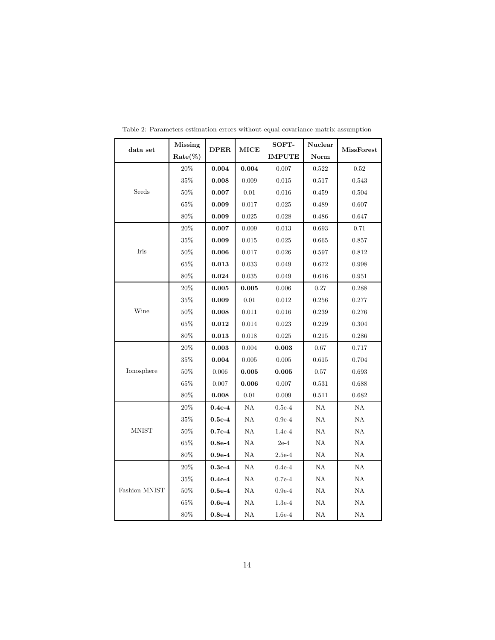| data set                      | <b>Missing</b> | <b>DPER</b> | MICE          | SOFT-         | Nuclear       | <b>MissForest</b> |
|-------------------------------|----------------|-------------|---------------|---------------|---------------|-------------------|
|                               | $Rate(\%)$     |             |               | <b>IMPUTE</b> | Norm          |                   |
| Seeds                         | 20%            | 0.004       | 0.004         | 0.007         | 0.522         | 0.52              |
|                               | $35\%$         | 0.008       | $0.009\,$     | 0.015         | 0.517         | 0.543             |
|                               | $50\%$         | 0.007       | 0.01          | 0.016         | 0.459         | 0.504             |
|                               | $65\%$         | 0.009       | 0.017         | 0.025         | 0.489         | $0.607\,$         |
|                               | $80\%$         | 0.009       | 0.025         | 0.028         | 0.486         | 0.647             |
| Iris                          | $20\%$         | 0.007       | 0.009         | 0.013         | 0.693         | 0.71              |
|                               | $35\%$         | 0.009       | 0.015         | 0.025         | 0.665         | 0.857             |
|                               | 50%            | 0.006       | 0.017         | 0.026         | 0.597         | 0.812             |
|                               | $65\%$         | 0.013       | 0.033         | 0.049         | 0.672         | 0.998             |
|                               | $80\%$         | 0.024       | 0.035         | 0.049         | 0.616         | 0.951             |
|                               | $20\%$         | 0.005       | 0.005         | 0.006         | 0.27          | 0.288             |
|                               | $35\%$         | 0.009       | $0.01\,$      | 0.012         | 0.256         | 0.277             |
| Wine                          | 50%            | 0.008       | 0.011         | $\,0.016\,$   | 0.239         | 0.276             |
|                               | $65\%$         | 0.012       | 0.014         | 0.023         | 0.229         | 0.304             |
|                               | $80\%$         | 0.013       | 0.018         | 0.025         | 0.215         | $0.286\,$         |
|                               | $20\%$         | 0.003       | 0.004         | 0.003         | 0.67          | 0.717             |
|                               | $35\%$         | 0.004       | 0.005         | 0.005         | 0.615         | 0.704             |
| Ionosphere                    | $50\%$         | 0.006       | 0.005         | 0.005         | 0.57          | 0.693             |
|                               | $65\%$         | 0.007       | 0.006         | 0.007         | 0.531         | 0.688             |
|                               | $80\%$         | 0.008       | $0.01\,$      | 0.009         | 0.511         | 0.682             |
| $\mathop{\rm MNIST}\nolimits$ | 20%            | $0.4e-4$    | NA            | $0.5e-4$      | NA            | NA                |
|                               | $35\%$         | $0.5e-4$    | $\mathrm{NA}$ | $0.9e-4$      | $\mathrm{NA}$ | $\mathrm{NA}$     |
|                               | $50\%$         | $0.7e-4$    | $\mathrm{NA}$ | $1.4e-4$      | ΝA            | ΝA                |
|                               | $65\%$         | $0.8e-4$    | ΝA            | $2e-4$        | ΝA            | ΝA                |
|                               | $80\%$         | $0.9e-4$    | $\mathrm{NA}$ | $2.5e-4$      | $\mathrm{NA}$ | NA                |
| Fashion MNIST                 | $20\%$         | $0.3e-4$    | ΝA            | $0.4e-4$      | ΝA            | ΝA                |
|                               | $35\%$         | $0.4e-4$    | ΝA            | $0.7e-4$      | ΝA            | $\mathrm{NA}$     |
|                               | $50\%$         | $0.5e-4$    | NA            | $0.9e-4$      | NA            | ΝA                |
|                               | $65\%$         | $0.6e-4$    | $\mathrm{NA}$ | $1.3e-4$      | $\mathrm{NA}$ | $\mathrm{NA}$     |
|                               | $80\%$         | $0.8e-4$    | $\mathrm{NA}$ | $1.6e-4$      | ΝA            | ΝA                |

<span id="page-13-0"></span>Table 2: Parameters estimation errors without equal covariance matrix assumption

 $\mathsf{r}$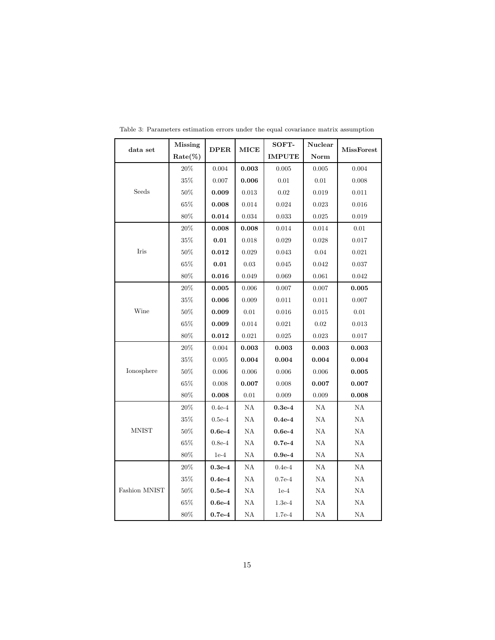| data set                       | <b>Missing</b> | <b>DPER</b> | MICE          | SOFT-         | Nuclear       | <b>MissForest</b> |
|--------------------------------|----------------|-------------|---------------|---------------|---------------|-------------------|
|                                | $Rate(\%)$     |             |               | <b>IMPUTE</b> | Norm          |                   |
| Seeds                          | $20\%$         | $\,0.004\,$ | 0.003         | $0.005\,$     | $0.005\,$     | 0.004             |
|                                | $35\%$         | 0.007       | 0.006         | 0.01          | 0.01          | 0.008             |
|                                | $50\%$         | 0.009       | 0.013         | 0.02          | 0.019         | 0.011             |
|                                | $65\%$         | 0.008       | 0.014         | 0.024         | 0.023         | 0.016             |
|                                | 80%            | 0.014       | 0.034         | 0.033         | 0.025         | 0.019             |
| Iris                           | $20\%$         | 0.008       | 0.008         | 0.014         | 0.014         | 0.01              |
|                                | $35\%$         | 0.01        | 0.018         | 0.029         | 0.028         | 0.017             |
|                                | $50\%$         | 0.012       | 0.029         | 0.043         | 0.04          | 0.021             |
|                                | $65\%$         | 0.01        | 0.03          | 0.045         | 0.042         | 0.037             |
|                                | $80\%$         | 0.016       | 0.049         | 0.069         | 0.061         | 0.042             |
|                                | $20\%$         | 0.005       | 0.006         | 0.007         | 0.007         | 0.005             |
| Wine                           | $35\%$         | 0.006       | 0.009         | 0.011         | 0.011         | 0.007             |
|                                | $50\%$         | 0.009       | $0.01\,$      | 0.016         | 0.015         | 0.01              |
|                                | $65\%$         | 0.009       | 0.014         | 0.021         | 0.02          | 0.013             |
|                                | $80\%$         | 0.012       | 0.021         | 0.025         | 0.023         | 0.017             |
|                                | 20%            | 0.004       | 0.003         | 0.003         | 0.003         | 0.003             |
|                                | $35\%$         | 0.005       | 0.004         | 0.004         | 0.004         | 0.004             |
| Ionosphere                     | 50%            | 0.006       | $0.006\,$     | 0.006         | 0.006         | 0.005             |
|                                | $65\%$         | 0.008       | 0.007         | 0.008         | 0.007         | 0.007             |
|                                | $80\%$         | 0.008       | 0.01          | 0.009         | 0.009         | 0.008             |
| <b>MNIST</b>                   | $20\%$         | $0.4e-4$    | ΝA            | $0.3e-4$      | NA            | $\mathrm{NA}$     |
|                                | $35\%$         | $0.5e-4$    | ΝA            | $0.4e-4$      | ΝA            | ΝA                |
|                                | $50\%$         | $0.6e-4$    | $\mathrm{NA}$ | $0.6e-4$      | $\mathrm{NA}$ | NA                |
|                                | $65\%$         | $0.8e-4$    | $\mathrm{NA}$ | $0.7e-4$      | NA            | NA                |
|                                | $80\%$         | $1e-4$      | $\mathrm{NA}$ | $0.9e-4$      | $_{\rm NA}$   | NA                |
| $\operatorname{Fashion}$ MNIST | $20\%$         | $0.3e-4$    | ΝA            | $0.4e-4$      | ΝA            | ΝA                |
|                                | $35\%$         | $0.4e-4$    | ΝA            | $0.7e-4$      | NA            | ΝA                |
|                                | $50\%$         | $0.5e-4$    | NA            | $1e-4$        | NA            | NA                |
|                                | $65\%$         | $0.6e-4$    | $\mathrm{NA}$ | $1.3e-4$      | $\mathrm{NA}$ | $\mathrm{NA}$     |
|                                | $80\%$         | $0.7e-4$    | $\mathrm{NA}$ | 1.7e-4        | NA            | ΝA                |

<span id="page-14-0"></span>Table 3: Parameters estimation errors under the equal covariance matrix assumption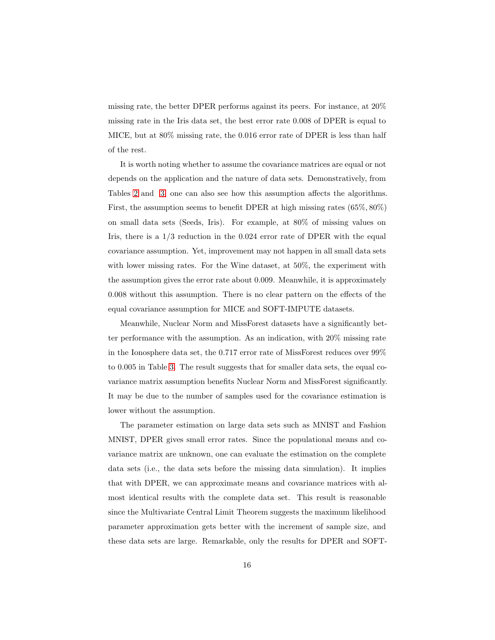missing rate, the better DPER performs against its peers. For instance, at 20% missing rate in the Iris data set, the best error rate 0.008 of DPER is equal to MICE, but at 80% missing rate, the 0.016 error rate of DPER is less than half of the rest.

It is worth noting whether to assume the covariance matrices are equal or not depends on the application and the nature of data sets. Demonstratively, from Tables [2](#page-13-0) and [3,](#page-14-0) one can also see how this assumption affects the algorithms. First, the assumption seems to benefit DPER at high missing rates (65%, 80%) on small data sets (Seeds, Iris). For example, at 80% of missing values on Iris, there is a  $1/3$  reduction in the 0.024 error rate of DPER with the equal covariance assumption. Yet, improvement may not happen in all small data sets with lower missing rates. For the Wine dataset, at 50%, the experiment with the assumption gives the error rate about 0.009. Meanwhile, it is approximately 0.008 without this assumption. There is no clear pattern on the effects of the equal covariance assumption for MICE and SOFT-IMPUTE datasets.

Meanwhile, Nuclear Norm and MissForest datasets have a significantly better performance with the assumption. As an indication, with 20% missing rate in the Ionosphere data set, the 0.717 error rate of MissForest reduces over 99% to 0.005 in Table [3.](#page-14-0) The result suggests that for smaller data sets, the equal covariance matrix assumption benefits Nuclear Norm and MissForest significantly. It may be due to the number of samples used for the covariance estimation is lower without the assumption.

The parameter estimation on large data sets such as MNIST and Fashion MNIST, DPER gives small error rates. Since the populational means and covariance matrix are unknown, one can evaluate the estimation on the complete data sets (i.e., the data sets before the missing data simulation). It implies that with DPER, we can approximate means and covariance matrices with almost identical results with the complete data set. This result is reasonable since the Multivariate Central Limit Theorem suggests the maximum likelihood parameter approximation gets better with the increment of sample size, and these data sets are large. Remarkable, only the results for DPER and SOFT-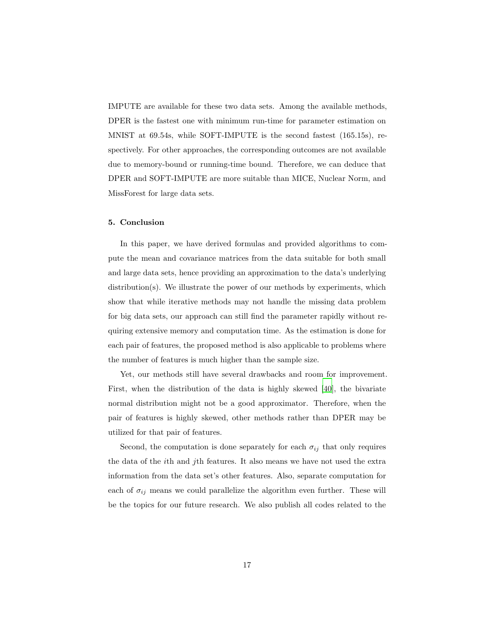IMPUTE are available for these two data sets. Among the available methods, DPER is the fastest one with minimum run-time for parameter estimation on MNIST at 69.54s, while SOFT-IMPUTE is the second fastest (165.15s), respectively. For other approaches, the corresponding outcomes are not available due to memory-bound or running-time bound. Therefore, we can deduce that DPER and SOFT-IMPUTE are more suitable than MICE, Nuclear Norm, and MissForest for large data sets.

#### <span id="page-16-0"></span>5. Conclusion

In this paper, we have derived formulas and provided algorithms to compute the mean and covariance matrices from the data suitable for both small and large data sets, hence providing an approximation to the data's underlying distribution(s). We illustrate the power of our methods by experiments, which show that while iterative methods may not handle the missing data problem for big data sets, our approach can still find the parameter rapidly without requiring extensive memory and computation time. As the estimation is done for each pair of features, the proposed method is also applicable to problems where the number of features is much higher than the sample size.

Yet, our methods still have several drawbacks and room for improvement. First, when the distribution of the data is highly skewed [\[40\]](#page-21-6), the bivariate normal distribution might not be a good approximator. Therefore, when the pair of features is highly skewed, other methods rather than DPER may be utilized for that pair of features.

Second, the computation is done separately for each  $\sigma_{ij}$  that only requires the data of the ith and jth features. It also means we have not used the extra information from the data set's other features. Also, separate computation for each of  $\sigma_{ij}$  means we could parallelize the algorithm even further. These will be the topics for our future research. We also publish all codes related to the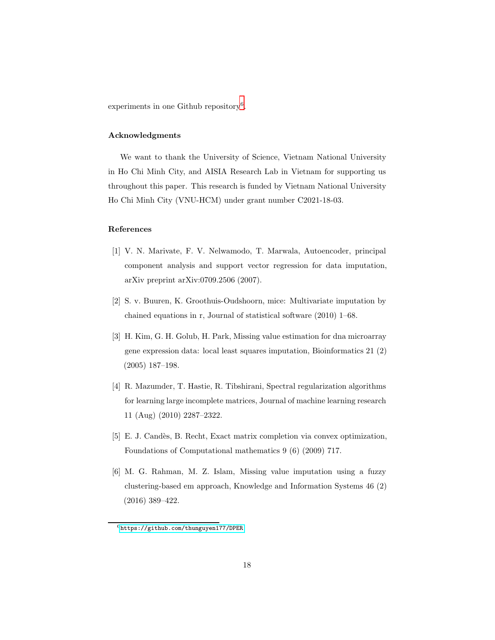experiments in one Github repository<sup>[6](#page-17-6)</sup>.

#### Acknowledgments

We want to thank the University of Science, Vietnam National University in Ho Chi Minh City, and AISIA Research Lab in Vietnam for supporting us throughout this paper. This research is funded by Vietnam National University Ho Chi Minh City (VNU-HCM) under grant number C2021-18-03.

#### References

- <span id="page-17-0"></span>[1] V. N. Marivate, F. V. Nelwamodo, T. Marwala, Autoencoder, principal component analysis and support vector regression for data imputation, arXiv preprint arXiv:0709.2506 (2007).
- <span id="page-17-1"></span>[2] S. v. Buuren, K. Groothuis-Oudshoorn, mice: Multivariate imputation by chained equations in r, Journal of statistical software (2010) 1–68.
- <span id="page-17-2"></span>[3] H. Kim, G. H. Golub, H. Park, Missing value estimation for dna microarray gene expression data: local least squares imputation, Bioinformatics 21 (2) (2005) 187–198.
- <span id="page-17-3"></span>[4] R. Mazumder, T. Hastie, R. Tibshirani, Spectral regularization algorithms for learning large incomplete matrices, Journal of machine learning research 11 (Aug) (2010) 2287–2322.
- <span id="page-17-4"></span>[5] E. J. Candès, B. Recht, Exact matrix completion via convex optimization, Foundations of Computational mathematics 9 (6) (2009) 717.
- <span id="page-17-5"></span>[6] M. G. Rahman, M. Z. Islam, Missing value imputation using a fuzzy clustering-based em approach, Knowledge and Information Systems 46 (2) (2016) 389–422.

<span id="page-17-6"></span> $6$ <https://github.com/thunguyen177/DPER>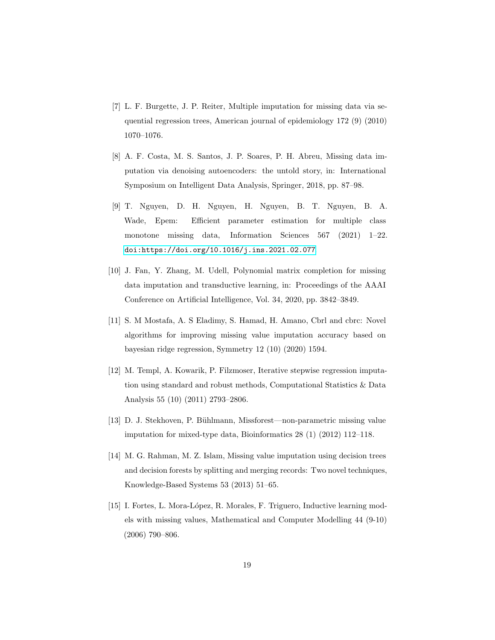- <span id="page-18-0"></span>[7] L. F. Burgette, J. P. Reiter, Multiple imputation for missing data via sequential regression trees, American journal of epidemiology 172 (9) (2010) 1070–1076.
- <span id="page-18-1"></span>[8] A. F. Costa, M. S. Santos, J. P. Soares, P. H. Abreu, Missing data imputation via denoising autoencoders: the untold story, in: International Symposium on Intelligent Data Analysis, Springer, 2018, pp. 87–98.
- <span id="page-18-2"></span>[9] T. Nguyen, D. H. Nguyen, H. Nguyen, B. T. Nguyen, B. A. Wade, Epem: Efficient parameter estimation for multiple class monotone missing data, Information Sciences 567 (2021) 1–22. [doi:https://doi.org/10.1016/j.ins.2021.02.077](https://doi.org/https://doi.org/10.1016/j.ins.2021.02.077).
- <span id="page-18-3"></span>[10] J. Fan, Y. Zhang, M. Udell, Polynomial matrix completion for missing data imputation and transductive learning, in: Proceedings of the AAAI Conference on Artificial Intelligence, Vol. 34, 2020, pp. 3842–3849.
- <span id="page-18-4"></span>[11] S. M Mostafa, A. S Eladimy, S. Hamad, H. Amano, Cbrl and cbrc: Novel algorithms for improving missing value imputation accuracy based on bayesian ridge regression, Symmetry 12 (10) (2020) 1594.
- <span id="page-18-5"></span>[12] M. Templ, A. Kowarik, P. Filzmoser, Iterative stepwise regression imputation using standard and robust methods, Computational Statistics & Data Analysis 55 (10) (2011) 2793–2806.
- <span id="page-18-6"></span>[13] D. J. Stekhoven, P. Bühlmann, Missforest—non-parametric missing value imputation for mixed-type data, Bioinformatics 28 (1) (2012) 112–118.
- <span id="page-18-7"></span>[14] M. G. Rahman, M. Z. Islam, Missing value imputation using decision trees and decision forests by splitting and merging records: Two novel techniques, Knowledge-Based Systems 53 (2013) 51–65.
- <span id="page-18-8"></span>[15] I. Fortes, L. Mora-López, R. Morales, F. Triguero, Inductive learning models with missing values, Mathematical and Computer Modelling 44 (9-10) (2006) 790–806.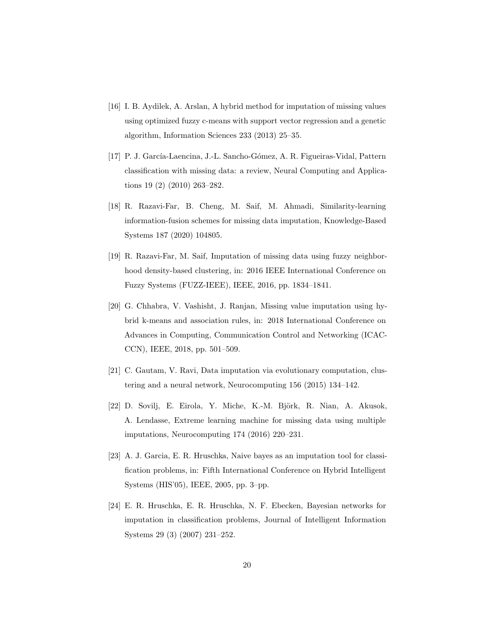- <span id="page-19-0"></span>[16] I. B. Aydilek, A. Arslan, A hybrid method for imputation of missing values using optimized fuzzy c-means with support vector regression and a genetic algorithm, Information Sciences 233 (2013) 25–35.
- <span id="page-19-1"></span>[17] P. J. García-Laencina, J.-L. Sancho-Gómez, A. R. Figueiras-Vidal, Pattern classification with missing data: a review, Neural Computing and Applications 19 (2) (2010) 263–282.
- <span id="page-19-2"></span>[18] R. Razavi-Far, B. Cheng, M. Saif, M. Ahmadi, Similarity-learning information-fusion schemes for missing data imputation, Knowledge-Based Systems 187 (2020) 104805.
- <span id="page-19-3"></span>[19] R. Razavi-Far, M. Saif, Imputation of missing data using fuzzy neighborhood density-based clustering, in: 2016 IEEE International Conference on Fuzzy Systems (FUZZ-IEEE), IEEE, 2016, pp. 1834–1841.
- <span id="page-19-4"></span>[20] G. Chhabra, V. Vashisht, J. Ranjan, Missing value imputation using hybrid k-means and association rules, in: 2018 International Conference on Advances in Computing, Communication Control and Networking (ICAC-CCN), IEEE, 2018, pp. 501–509.
- <span id="page-19-5"></span>[21] C. Gautam, V. Ravi, Data imputation via evolutionary computation, clustering and a neural network, Neurocomputing 156 (2015) 134–142.
- <span id="page-19-6"></span>[22] D. Sovilj, E. Eirola, Y. Miche, K.-M. Björk, R. Nian, A. Akusok, A. Lendasse, Extreme learning machine for missing data using multiple imputations, Neurocomputing 174 (2016) 220–231.
- <span id="page-19-7"></span>[23] A. J. Garcia, E. R. Hruschka, Naive bayes as an imputation tool for classification problems, in: Fifth International Conference on Hybrid Intelligent Systems (HIS'05), IEEE, 2005, pp. 3–pp.
- <span id="page-19-8"></span>[24] E. R. Hruschka, E. R. Hruschka, N. F. Ebecken, Bayesian networks for imputation in classification problems, Journal of Intelligent Information Systems 29 (3) (2007) 231–252.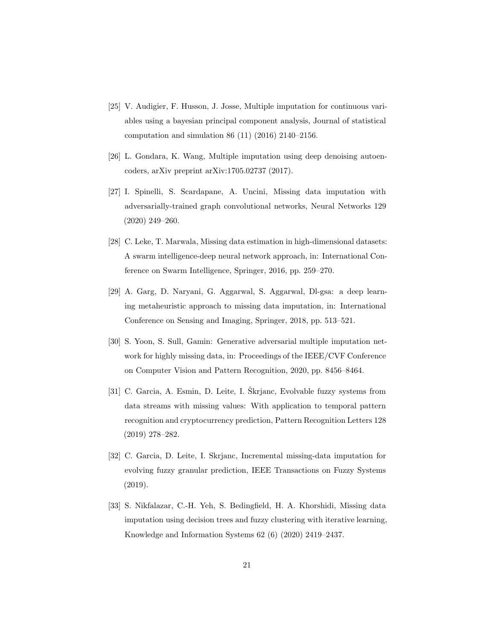- <span id="page-20-0"></span>[25] V. Audigier, F. Husson, J. Josse, Multiple imputation for continuous variables using a bayesian principal component analysis, Journal of statistical computation and simulation 86 (11) (2016) 2140–2156.
- <span id="page-20-1"></span>[26] L. Gondara, K. Wang, Multiple imputation using deep denoising autoencoders, arXiv preprint arXiv:1705.02737 (2017).
- <span id="page-20-2"></span>[27] I. Spinelli, S. Scardapane, A. Uncini, Missing data imputation with adversarially-trained graph convolutional networks, Neural Networks 129 (2020) 249–260.
- <span id="page-20-3"></span>[28] C. Leke, T. Marwala, Missing data estimation in high-dimensional datasets: A swarm intelligence-deep neural network approach, in: International Conference on Swarm Intelligence, Springer, 2016, pp. 259–270.
- <span id="page-20-4"></span>[29] A. Garg, D. Naryani, G. Aggarwal, S. Aggarwal, Dl-gsa: a deep learning metaheuristic approach to missing data imputation, in: International Conference on Sensing and Imaging, Springer, 2018, pp. 513–521.
- <span id="page-20-5"></span>[30] S. Yoon, S. Sull, Gamin: Generative adversarial multiple imputation network for highly missing data, in: Proceedings of the IEEE/CVF Conference on Computer Vision and Pattern Recognition, 2020, pp. 8456–8464.
- <span id="page-20-6"></span> $[31]$  C. Garcia, A. Esmin, D. Leite, I. Škrjanc, Evolvable fuzzy systems from data streams with missing values: With application to temporal pattern recognition and cryptocurrency prediction, Pattern Recognition Letters 128 (2019) 278–282.
- <span id="page-20-7"></span>[32] C. Garcia, D. Leite, I. Skrjanc, Incremental missing-data imputation for evolving fuzzy granular prediction, IEEE Transactions on Fuzzy Systems (2019).
- <span id="page-20-8"></span>[33] S. Nikfalazar, C.-H. Yeh, S. Bedingfield, H. A. Khorshidi, Missing data imputation using decision trees and fuzzy clustering with iterative learning, Knowledge and Information Systems 62 (6) (2020) 2419–2437.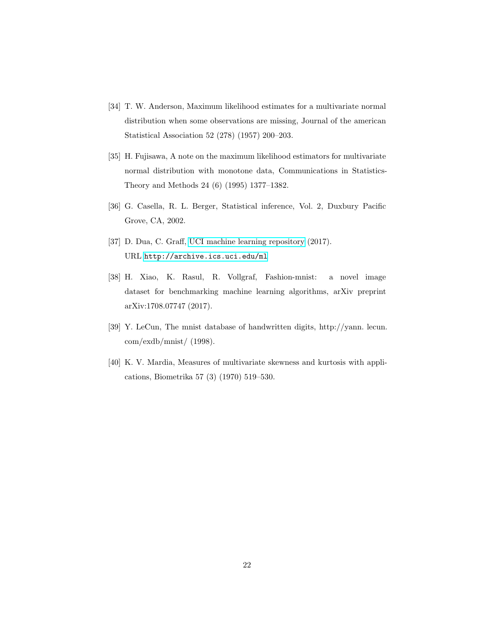- <span id="page-21-0"></span>[34] T. W. Anderson, Maximum likelihood estimates for a multivariate normal distribution when some observations are missing, Journal of the american Statistical Association 52 (278) (1957) 200–203.
- <span id="page-21-1"></span>[35] H. Fujisawa, A note on the maximum likelihood estimators for multivariate normal distribution with monotone data, Communications in Statistics-Theory and Methods 24 (6) (1995) 1377–1382.
- <span id="page-21-2"></span>[36] G. Casella, R. L. Berger, Statistical inference, Vol. 2, Duxbury Pacific Grove, CA, 2002.
- <span id="page-21-3"></span>[37] D. Dua, C. Graff, [UCI machine learning repository](http://archive.ics.uci.edu/ml) (2017). URL <http://archive.ics.uci.edu/ml>
- <span id="page-21-4"></span>[38] H. Xiao, K. Rasul, R. Vollgraf, Fashion-mnist: a novel image dataset for benchmarking machine learning algorithms, arXiv preprint arXiv:1708.07747 (2017).
- <span id="page-21-5"></span>[39] Y. LeCun, The mnist database of handwritten digits, http://yann. lecun. com/exdb/mnist/ (1998).
- <span id="page-21-6"></span>[40] K. V. Mardia, Measures of multivariate skewness and kurtosis with applications, Biometrika 57 (3) (1970) 519–530.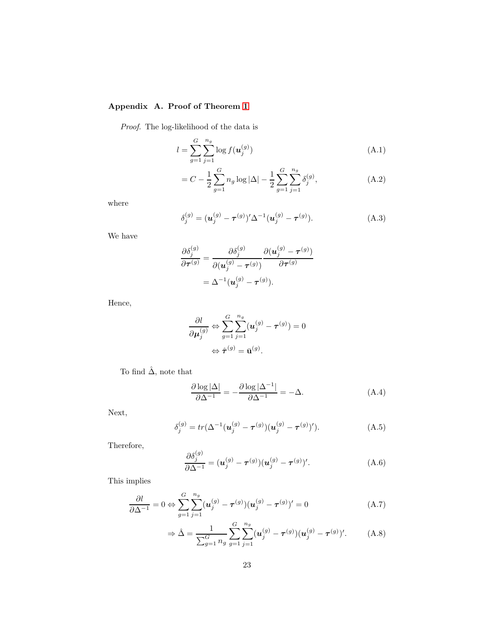# <span id="page-22-0"></span>Appendix A. Proof of Theorem [1](#page-8-3)

*Proof.* The log-likelihood of the data is

$$
l = \sum_{g=1}^{G} \sum_{j=1}^{n_g} \log f(\mathbf{u}_j^{(g)})
$$
 (A.1)

$$
= C - \frac{1}{2} \sum_{g=1}^{G} n_g \log |\Delta| - \frac{1}{2} \sum_{g=1}^{G} \sum_{j=1}^{n_g} \delta_j^{(g)}, \tag{A.2}
$$

where

$$
\delta_j^{(g)} = (\mathbf{u}_j^{(g)} - \boldsymbol{\tau}^{(g)})' \Delta^{-1} (\mathbf{u}_j^{(g)} - \boldsymbol{\tau}^{(g)}).
$$
 (A.3)

We have

$$
\frac{\partial \delta_j^{(g)}}{\partial \boldsymbol{\tau}^{(g)}} = \frac{\partial \delta_j^{(g)}}{\partial (\boldsymbol{u}_j^{(g)} - \boldsymbol{\tau}^{(g)})} \frac{\partial (\boldsymbol{u}_j^{(g)} - \boldsymbol{\tau}^{(g)})}{\partial \boldsymbol{\tau}^{(g)}} \\ = \Delta^{-1} (\boldsymbol{u}_j^{(g)} - \boldsymbol{\tau}^{(g)}).
$$

Hence,

$$
\frac{\partial l}{\partial \mu_j^{(g)}} \Leftrightarrow \sum_{g=1}^G \sum_{j=1}^{n_g} (u_j^{(g)} - \tau^{(g)}) = 0
$$

$$
\Leftrightarrow \hat{\tau}^{(g)} = \bar{\mathbf{u}}^{(g)}.
$$

To find  $\hat{\Delta}$ , note that

$$
\frac{\partial \log |\Delta|}{\partial \Delta^{-1}} = -\frac{\partial \log |\Delta^{-1}|}{\partial \Delta^{-1}} = -\Delta.
$$
 (A.4)

Next,

$$
\delta_j^{(g)} = tr(\Delta^{-1}(\boldsymbol{u}_j^{(g)} - \boldsymbol{\tau}^{(g)})(\boldsymbol{u}_j^{(g)} - \boldsymbol{\tau}^{(g)})').
$$
 (A.5)

Therefore,

$$
\frac{\partial \delta_j^{(g)}}{\partial \Delta^{-1}} = (\boldsymbol{u}_j^{(g)} - \boldsymbol{\tau}^{(g)}) (\boldsymbol{u}_j^{(g)} - \boldsymbol{\tau}^{(g)})'.
$$
\n(A.6)

This implies

$$
\frac{\partial l}{\partial \Delta^{-1}} = 0 \Leftrightarrow \sum_{g=1}^{G} \sum_{j=1}^{n_g} (\boldsymbol{u}_j^{(g)} - \boldsymbol{\tau}^{(g)}) (\boldsymbol{u}_j^{(g)} - \boldsymbol{\tau}^{(g)})' = 0 \tag{A.7}
$$

$$
\Rightarrow \hat{\Delta} = \frac{1}{\sum_{g=1}^{G} n_g} \sum_{g=1}^{G} \sum_{j=1}^{n_g} (\mathbf{u}_j^{(g)} - \boldsymbol{\tau}^{(g)}) (\mathbf{u}_j^{(g)} - \boldsymbol{\tau}^{(g)})'. \tag{A.8}
$$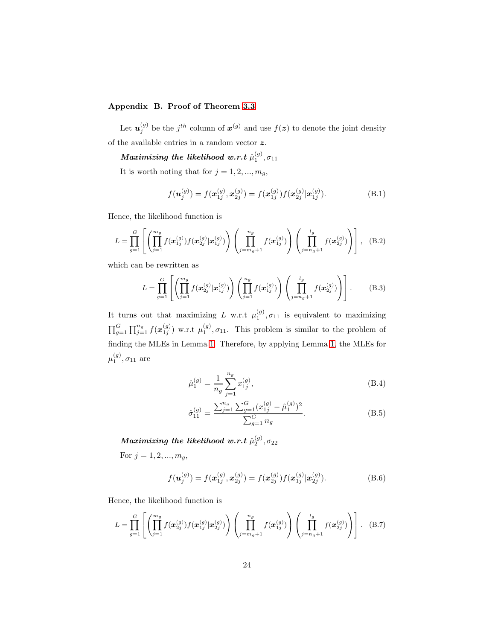# <span id="page-23-0"></span>Appendix B. Proof of Theorem [3.3](#page-7-0)

Let  $u_j^{(g)}$  be the  $j^{th}$  column of  $x^{(g)}$  and use  $f(z)$  to denote the joint density of the available entries in a random vector  $\boldsymbol{z}.$ 

 $\textit{Maximizing the likelihood w.r.t} \ \hat{\mu}_{1}^{(g)}, \sigma_{11}$ 

It is worth noting that for  $j = 1, 2, ..., m_g$ ,

$$
f(\mathbf{u}_{j}^{(g)}) = f(\mathbf{x}_{1j}^{(g)}, \mathbf{x}_{2j}^{(g)}) = f(\mathbf{x}_{1j}^{(g)}) f(\mathbf{x}_{2j}^{(g)} | \mathbf{x}_{1j}^{(g)}).
$$
 (B.1)

Hence, the likelihood function is

$$
L = \prod_{g=1}^{G} \left[ \left( \prod_{j=1}^{m_g} f(\mathbf{x}_{1j}^{(g)}) f(\mathbf{x}_{2j}^{(g)} | \mathbf{x}_{1j}^{(g)}) \right) \left( \prod_{j=m_g+1}^{n_g} f(\mathbf{x}_{1j}^{(g)}) \right) \left( \prod_{j=n_g+1}^{l_g} f(\mathbf{x}_{2j}^{(g)}) \right) \right], \quad (B.2)
$$

which can be rewritten as

$$
L = \prod_{g=1}^{G} \left[ \left( \prod_{j=1}^{m_g} f(\mathbf{x}_{2j}^{(g)} | \mathbf{x}_{1j}^{(g)}) \right) \left( \prod_{j=1}^{n_g} f(\mathbf{x}_{1j}^{(g)}) \right) \left( \prod_{j=n_g+1}^{l_g} f(\mathbf{x}_{2j}^{(g)}) \right) \right].
$$
 (B.3)

It turns out that maximizing L w.r.t  $\mu_1^{(g)}, \sigma_{11}$  is equivalent to maximizing  $\prod_{g=1}^G \prod_{j=1}^{n_g} f(x_{1j}^{(g)})$  w.r.t  $\mu_1^{(g)}$ ,  $\sigma_{11}$ . This problem is similar to the problem of finding the MLEs in Lemma [1.](#page-8-3) Therefore, by applying Lemma [1,](#page-8-3) the MLEs for  $\mu_1^{(g)}, \sigma_{11}$  are

$$
\hat{\mu}_1^{(g)} = \frac{1}{n_g} \sum_{j=1}^{n_g} x_{1j}^{(g)},
$$
\n(B.4)

$$
\hat{\sigma}_{11}^{(g)} = \frac{\sum_{j=1}^{n_g} \sum_{g=1}^{G} (x_{1j}^{(g)} - \hat{\mu}_1^{(g)})^2}{\sum_{g=1}^{G} n_g}.
$$
\n(B.5)

 $\textit{Maximizing the likelihood w.r.t} \ \hat{\mu}_{2}^{(g)}, \sigma_{22}$ 

For  $j = 1, 2, ..., m_g$ ,

$$
f(\mathbf{u}_{j}^{(g)}) = f(\mathbf{x}_{1j}^{(g)}, \mathbf{x}_{2j}^{(g)}) = f(\mathbf{x}_{2j}^{(g)}) f(\mathbf{x}_{1j}^{(g)} | \mathbf{x}_{2j}^{(g)}).
$$
 (B.6)

Hence, the likelihood function is

$$
L = \prod_{g=1}^{G} \left[ \left( \prod_{j=1}^{m_g} f(\mathbf{x}_{2j}^{(g)}) f(\mathbf{x}_{1j}^{(g)}) \mathbf{x}_{2j}^{(g)} \right) \left( \prod_{j=m_g+1}^{n_g} f(\mathbf{x}_{1j}^{(g)}) \right) \left( \prod_{j=n_g+1}^{l_g} f(\mathbf{x}_{2j}^{(g)}) \right) \right].
$$
 (B.7)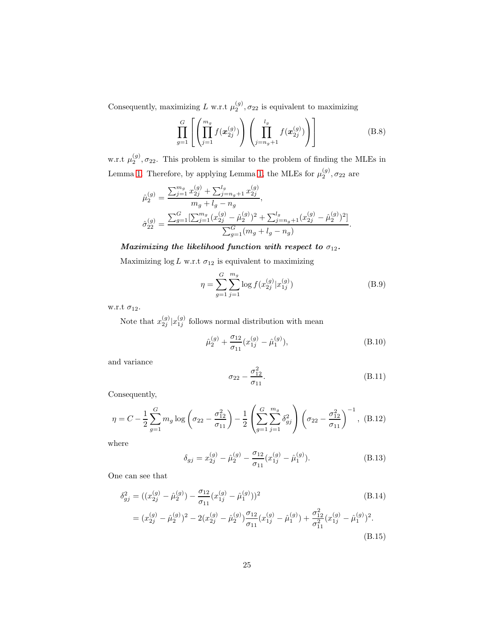Consequently, maximizing L w.r.t  $\mu_2^{(g)}$ ,  $\sigma_{22}$  is equivalent to maximizing

$$
\prod_{g=1}^{G} \left[ \left( \prod_{j=1}^{m_g} f(\boldsymbol{x}_{2j}^{(g)}) \right) \left( \prod_{j=n_g+1}^{l_g} f(\boldsymbol{x}_{2j}^{(g)}) \right) \right]
$$
(B.8)

w.r.t  $\mu_2^{(g)}$ ,  $\sigma_{22}$ . This problem is similar to the problem of finding the MLEs in Lemma [1.](#page-8-3) Therefore, by applying Lemma [1,](#page-8-3) the MLEs for  $\mu_2^{(g)}$ ,  $\sigma_{22}$  are

$$
\hat{\mu}_2^{(g)} = \frac{\sum_{j=1}^{m_g} x_{2j}^{(g)} + \sum_{j=n_g+1}^{l_g} x_{2j}^{(g)}}{m_g + l_g - n_g},
$$
  

$$
\hat{\sigma}_{22}^{(g)} = \frac{\sum_{g=1}^{G} [\sum_{j=1}^{m_g} (x_{2j}^{(g)} - \hat{\mu}_2^{(g)})^2 + \sum_{j=n_g+1}^{l_g} (x_{2j}^{(g)} - \hat{\mu}_2^{(g)})^2]}{\sum_{g=1}^{G} (m_g + l_g - n_g)}.
$$

#### Maximizing the likelihood function with respect to  $\sigma_{12}$ .

Maximizing  $\log L$  w.r.t  $\sigma_{12}$  is equivalent to maximizing

$$
\eta = \sum_{g=1}^{G} \sum_{j=1}^{m_g} \log f(x_{2j}^{(g)} | x_{1j}^{(g)})
$$
(B.9)

w.r.t  $\sigma_{12}$ .

Note that  $x_{2j}^{(g)} | x_{1j}^{(g)}$  follows normal distribution with mean

$$
\hat{\mu}_2^{(g)} + \frac{\sigma_{12}}{\sigma_{11}} (x_{1j}^{(g)} - \hat{\mu}_1^{(g)}), \tag{B.10}
$$

and variance

$$
\sigma_{22} - \frac{\sigma_{12}^2}{\sigma_{11}}.\tag{B.11}
$$

Consequently,

$$
\eta = C - \frac{1}{2} \sum_{g=1}^{G} m_g \log \left( \sigma_{22} - \frac{\sigma_{12}^2}{\sigma_{11}} \right) - \frac{1}{2} \left( \sum_{g=1}^{G} \sum_{j=1}^{m_g} \delta_{gj}^2 \right) \left( \sigma_{22} - \frac{\sigma_{12}^2}{\sigma_{11}} \right)^{-1}, \quad (B.12)
$$

where

$$
\delta_{gj} = x_{2j}^{(g)} - \hat{\mu}_2^{(g)} - \frac{\sigma_{12}}{\sigma_{11}} (x_{1j}^{(g)} - \hat{\mu}_1^{(g)}).
$$
 (B.13)

One can see that

$$
\delta_{gj}^{2} = ((x_{2j}^{(g)} - \hat{\mu}_{2}^{(g)}) - \frac{\sigma_{12}}{\sigma_{11}}(x_{1j}^{(g)} - \hat{\mu}_{1}^{(g)}))^{2}
$$
(B.14)  
=  $(x_{2j}^{(g)} - \hat{\mu}_{2}^{(g)})^{2} - 2(x_{2j}^{(g)} - \hat{\mu}_{2}^{(g)})\frac{\sigma_{12}}{\sigma_{11}}(x_{1j}^{(g)} - \hat{\mu}_{1}^{(g)}) + \frac{\sigma_{12}^{2}}{\sigma_{11}^{2}}(x_{1j}^{(g)} - \hat{\mu}_{1}^{(g)})^{2}$ . (B.15)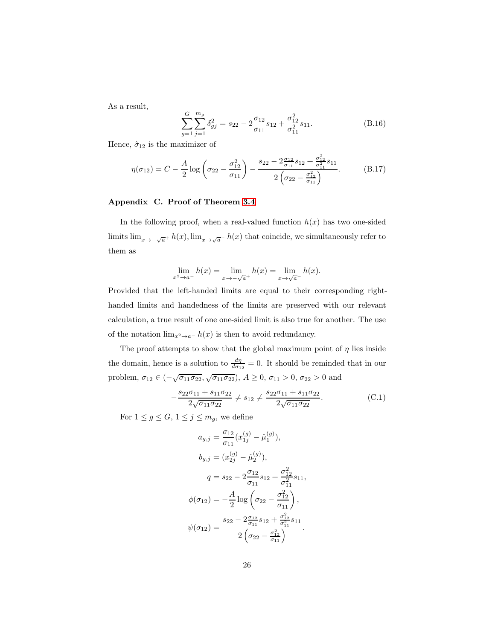As a result,

$$
\sum_{g=1}^{G} \sum_{j=1}^{m_g} \delta_{gj}^2 = s_{22} - 2 \frac{\sigma_{12}}{\sigma_{11}} s_{12} + \frac{\sigma_{12}^2}{\sigma_{11}^2} s_{11}.
$$
 (B.16)

Hence,  $\hat{\sigma}_{12}$  is the maximizer of

$$
\eta(\sigma_{12}) = C - \frac{A}{2} \log \left( \sigma_{22} - \frac{\sigma_{12}^2}{\sigma_{11}} \right) - \frac{s_{22} - 2 \frac{\sigma_{12}}{\sigma_{11}} s_{12} + \frac{\sigma_{12}^2}{\sigma_{11}^2} s_{11}}{2 \left( \sigma_{22} - \frac{\sigma_{12}^2}{\sigma_{11}} \right)}.
$$
 (B.17)

#### <span id="page-25-0"></span>Appendix C. Proof of Theorem [3.4](#page-8-0)

In the following proof, when a real-valued function  $h(x)$  has two one-sided limits  $\lim_{x\to -\sqrt{a}^+} h(x)$ ,  $\lim_{x\to \sqrt{a}^-} h(x)$  that coincide, we simultaneously refer to them as

$$
\lim_{x^2 \to a^-} h(x) = \lim_{x \to -\sqrt{a}^+} h(x) = \lim_{x \to \sqrt{a}^-} h(x).
$$

Provided that the left-handed limits are equal to their corresponding righthanded limits and handedness of the limits are preserved with our relevant calculation, a true result of one one-sided limit is also true for another. The use of the notation  $\lim_{x^2 \to a^-} h(x)$  is then to avoid redundancy.

The proof attempts to show that the global maximum point of  $\eta$  lies inside the domain, hence is a solution to  $\frac{d\eta}{d\sigma_{12}} = 0$ . It should be reminded that in our problem,  $\sigma_{12} \in (-\sqrt{\sigma_{11}\sigma_{22}}, \sqrt{\sigma_{11}\sigma_{22}}), A \ge 0, \sigma_{11} > 0, \sigma_{22} > 0$  and

$$
-\frac{s_{22}\sigma_{11} + s_{11}\sigma_{22}}{2\sqrt{\sigma_{11}\sigma_{22}}} \neq s_{12} \neq \frac{s_{22}\sigma_{11} + s_{11}\sigma_{22}}{2\sqrt{\sigma_{11}\sigma_{22}}}.
$$
(C.1)

For  $1 \le g \le G$ ,  $1 \le j \le m_g$ , we define

<span id="page-25-1"></span>
$$
a_{g,j} = \frac{\sigma_{12}}{\sigma_{11}} (x_{1j}^{(g)} - \hat{\mu}_1^{(g)}),
$$
  
\n
$$
b_{g,j} = (x_{2j}^{(g)} - \hat{\mu}_2^{(g)}),
$$
  
\n
$$
q = s_{22} - 2 \frac{\sigma_{12}}{\sigma_{11}} s_{12} + \frac{\sigma_{12}^2}{\sigma_{11}^2} s_{11},
$$
  
\n
$$
\phi(\sigma_{12}) = -\frac{A}{2} \log \left( \sigma_{22} - \frac{\sigma_{12}^2}{\sigma_{11}} \right),
$$
  
\n
$$
\psi(\sigma_{12}) = \frac{s_{22} - 2 \frac{\sigma_{12}}{\sigma_{11}} s_{12} + \frac{\sigma_{12}^2}{\sigma_{11}^2} s_{11}}{2 \left( \sigma_{22} - \frac{\sigma_{12}^2}{\sigma_{11}} \right)}.
$$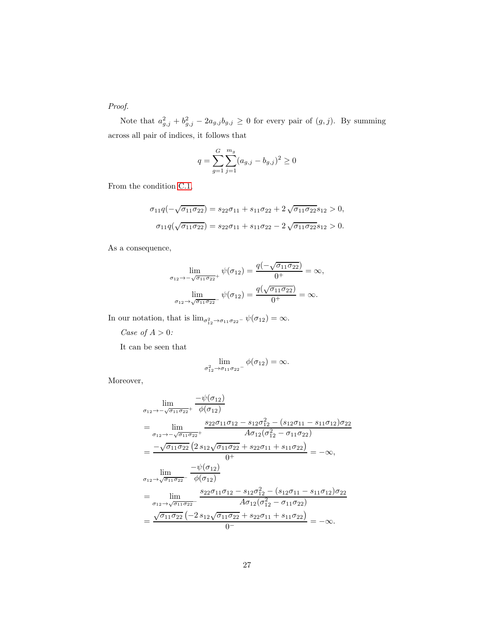*Proof.*

Note that  $a_{g,j}^2 + b_{g,j}^2 - 2a_{g,j}b_{g,j} \ge 0$  for every pair of  $(g, j)$ . By summing across all pair of indices, it follows that

$$
q = \sum_{g=1}^{G} \sum_{j=1}^{m_g} (a_{g,j} - b_{g,j})^2 \ge 0
$$

From the condition [C.1,](#page-25-1)

$$
\sigma_{11}q(-\sqrt{\sigma_{11}\sigma_{22}}) = s_{22}\sigma_{11} + s_{11}\sigma_{22} + 2\sqrt{\sigma_{11}\sigma_{22}}s_{12} > 0,
$$
  

$$
\sigma_{11}q(\sqrt{\sigma_{11}\sigma_{22}}) = s_{22}\sigma_{11} + s_{11}\sigma_{22} - 2\sqrt{\sigma_{11}\sigma_{22}}s_{12} > 0.
$$

As a consequence,

$$
\lim_{\sigma_{12} \to -\sqrt{\sigma_{11}\sigma_{22}}} \psi(\sigma_{12}) = \frac{q(-\sqrt{\sigma_{11}\sigma_{22}})}{0^+} = \infty,
$$
  

$$
\lim_{\sigma_{12} \to \sqrt{\sigma_{11}\sigma_{22}}} \psi(\sigma_{12}) = \frac{q(\sqrt{\sigma_{11}\sigma_{22}})}{0^+} = \infty.
$$

In our notation, that is  $\lim_{\sigma_{12}^2 \to \sigma_{11} \sigma_{22}^-} \psi(\sigma_{12}) = \infty$ .

*Case of* A > 0*:*

It can be seen that

$$
\lim_{\sigma_{12}^2 \to \sigma_{11}\sigma_{22}^-}\phi(\sigma_{12}) = \infty.
$$

Moreover,

$$
\lim_{\sigma_{12} \to -\sqrt{\sigma_{11}\sigma_{22}}^{+}} \frac{-\psi(\sigma_{12})}{\phi(\sigma_{12})}
$$
\n
$$
= \lim_{\sigma_{12} \to -\sqrt{\sigma_{11}\sigma_{22}}^{+}} \frac{s_{22}\sigma_{11}\sigma_{12} - s_{12}\sigma_{12}^{2} - (s_{12}\sigma_{11} - s_{11}\sigma_{12})\sigma_{22}}{A\sigma_{12}(\sigma_{12}^{2} - \sigma_{11}\sigma_{22})}
$$
\n
$$
= \frac{-\sqrt{\sigma_{11}\sigma_{22}} (2 s_{12}\sqrt{\sigma_{11}\sigma_{22}} + s_{22}\sigma_{11} + s_{11}\sigma_{22})}{0^{+}}
$$
\n
$$
= -\infty,
$$
\n
$$
\lim_{\sigma_{12} \to \sqrt{\sigma_{11}\sigma_{22}}^{+}} \frac{-\psi(\sigma_{12})}{\phi(\sigma_{12})}
$$
\n
$$
= \lim_{\sigma_{12} \to \sqrt{\sigma_{11}\sigma_{22}}^{+}} \frac{s_{22}\sigma_{11}\sigma_{12} - s_{12}\sigma_{12}^{2} - (s_{12}\sigma_{11} - s_{11}\sigma_{12})\sigma_{22}}{A\sigma_{12}(\sigma_{12}^{2} - \sigma_{11}\sigma_{22})}
$$
\n
$$
= \frac{\sqrt{\sigma_{11}\sigma_{22}} (-2 s_{12}\sqrt{\sigma_{11}\sigma_{22}} + s_{22}\sigma_{11} + s_{11}\sigma_{22})}{0^{-}} = -\infty.
$$